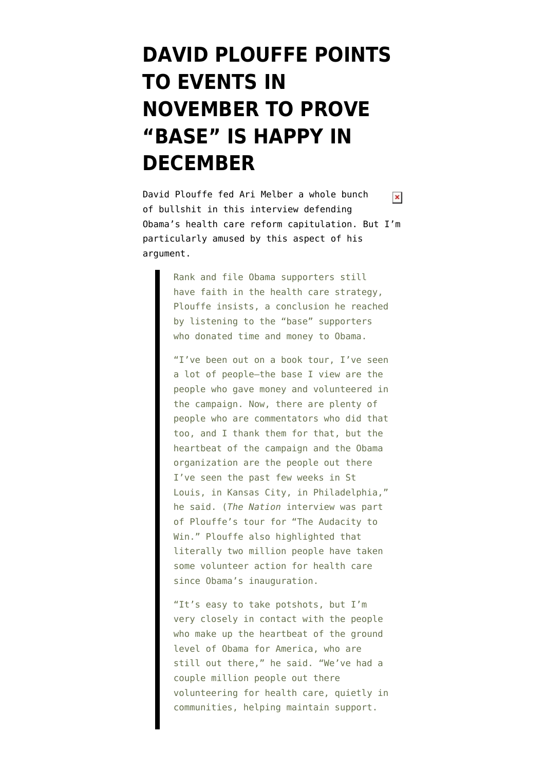## **[DAVID PLOUFFE POINTS](https://www.emptywheel.net/2009/12/17/david-plouffe-proves-that-two-million-obama-supporters-support-a-public-option/) [TO EVENTS IN](https://www.emptywheel.net/2009/12/17/david-plouffe-proves-that-two-million-obama-supporters-support-a-public-option/) [NOVEMBER TO PROVE](https://www.emptywheel.net/2009/12/17/david-plouffe-proves-that-two-million-obama-supporters-support-a-public-option/) ["BASE" IS HAPPY IN](https://www.emptywheel.net/2009/12/17/david-plouffe-proves-that-two-million-obama-supporters-support-a-public-option/) [DECEMBER](https://www.emptywheel.net/2009/12/17/david-plouffe-proves-that-two-million-obama-supporters-support-a-public-option/)**

David Plouffe fed Ari Melber a whole bunch  $\pmb{\times}$ of bullshit in [this interview](http://www.thenation.com/doc/20091221/melber) defending Obama's health care reform capitulation. But I'm particularly amused by this aspect of his argument.

> Rank and file Obama supporters still have faith in the health care strategy, Plouffe insists, a conclusion he reached by listening to the "base" supporters who donated time and money to Obama.

> "I've been out on a book tour, I've seen a lot of people–the base I view are the people who gave money and volunteered in the campaign. Now, there are plenty of people who are commentators who did that too, and I thank them for that, but the heartbeat of the campaign and the Obama organization are the people out there I've seen the past few weeks in St Louis, in Kansas City, in Philadelphia," he said. (*The Nation* interview was part of Plouffe's tour for "The Audacity to Win." Plouffe also highlighted that literally two million people have taken some volunteer action for health care since Obama's inauguration.

> "It's easy to take potshots, but I'm very closely in contact with the people who make up the heartbeat of the ground level of Obama for America, who are still out there," he said. "We've had a couple million people out there volunteering for health care, quietly in communities, helping maintain support.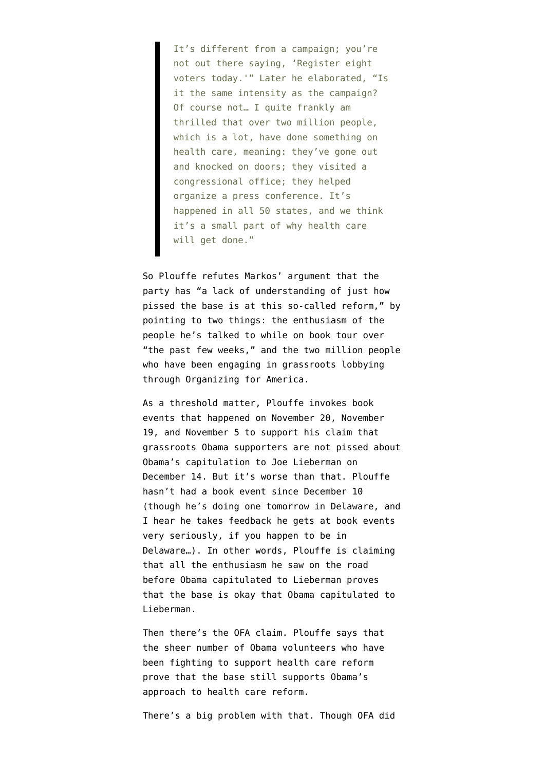It's different from a campaign; you're not out there saying, 'Register eight voters today.'" Later he elaborated, "Is it the same intensity as the campaign? Of course not… I quite frankly am thrilled that over two million people, which is a lot, have done something on health care, meaning: they've gone out and knocked on doors; they visited a congressional office; they helped organize a press conference. It's happened in all 50 states, and we think it's a small part of why health care will get done."

So Plouffe refutes Markos' argument that the party has "a lack of understanding of just how pissed the base is at this so-called reform," by pointing to two things: the enthusiasm of the people he's talked to while on book tour over "the past few weeks," and the two million people who have been engaging in grassroots lobbying through Organizing for America.

As a threshold matter, Plouffe invokes book events that happened on [November 20](http://www.goodreads.com/event/show/50288-david-plouffe-on-tour-for-the-book-the-audacity-to-win-the-inside-stor), [November](http://www.rainydaybooks.com/NASApp/store/IndexJsp;jsessionid=bacRSfKSuyQPXdwvdS-rs?s=storeevents&eventId=426373) [19,](http://www.rainydaybooks.com/NASApp/store/IndexJsp;jsessionid=bacRSfKSuyQPXdwvdS-rs?s=storeevents&eventId=426373) and [November 5](http://www.goodreads.com/event/show/50321-david-plouffe-on-tour-for-the-book-the-audacity-to-win-the-inside-stor) to support his claim that grassroots Obama supporters are not pissed about Obama's capitulation to Joe Lieberman on December 14. But it's worse than that. Plouffe hasn't had a book event [since December 10](http://www.davidplouffe.net/events.html) (though he's doing one tomorrow in Delaware, and I hear he takes feedback he gets at book events very seriously, if you happen to be in Delaware…). In other words, Plouffe is claiming that all the enthusiasm he saw on the road before Obama capitulated to Lieberman proves that the base is okay that Obama capitulated to Lieberman.

Then there's the OFA claim. Plouffe says that the sheer number of Obama volunteers who have been fighting to support health care reform prove that the base still supports Obama's approach to health care reform.

There's a big problem with that. Though OFA did